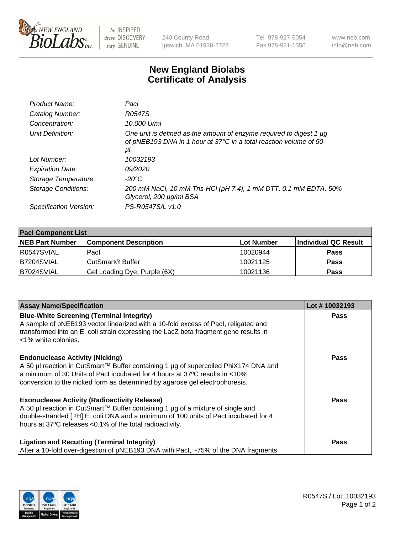

 $be$  INSPIRED drive DISCOVERY stay GENUINE

240 County Road Ipswich, MA 01938-2723 Tel 978-927-5054 Fax 978-921-1350 www.neb.com info@neb.com

## **New England Biolabs Certificate of Analysis**

| Product Name:              | Pacl                                                                                                                                            |
|----------------------------|-------------------------------------------------------------------------------------------------------------------------------------------------|
| Catalog Number:            | R0547S                                                                                                                                          |
| Concentration:             | 10,000 U/ml                                                                                                                                     |
| Unit Definition:           | One unit is defined as the amount of enzyme required to digest 1 µg<br>of pNEB193 DNA in 1 hour at 37°C in a total reaction volume of 50<br>μl. |
| Lot Number:                | 10032193                                                                                                                                        |
| <b>Expiration Date:</b>    | <i>09/2020</i>                                                                                                                                  |
| Storage Temperature:       | $-20^{\circ}$ C                                                                                                                                 |
| <b>Storage Conditions:</b> | 200 mM NaCl, 10 mM Tris-HCl (pH 7.4), 1 mM DTT, 0.1 mM EDTA, 50%<br>Glycerol, 200 µg/ml BSA                                                     |
| Specification Version:     | PS-R0547S/L v1.0                                                                                                                                |

| <b>Pacl Component List</b> |                              |            |                      |  |  |
|----------------------------|------------------------------|------------|----------------------|--|--|
| <b>NEB Part Number</b>     | <b>Component Description</b> | Lot Number | Individual QC Result |  |  |
| R0547SVIAL                 | Pacl                         | 10020944   | <b>Pass</b>          |  |  |
| B7204SVIAL                 | l CutSmart® Buffer           | 10021125   | <b>Pass</b>          |  |  |
| B7024SVIAL                 | Gel Loading Dye, Purple (6X) | 10021136   | <b>Pass</b>          |  |  |

| <b>Assay Name/Specification</b>                                                                                                                                                                                                                                                             | Lot #10032193 |
|---------------------------------------------------------------------------------------------------------------------------------------------------------------------------------------------------------------------------------------------------------------------------------------------|---------------|
| <b>Blue-White Screening (Terminal Integrity)</b><br>A sample of pNEB193 vector linearized with a 10-fold excess of Pacl, religated and<br>transformed into an E. coli strain expressing the LacZ beta fragment gene results in<br><1% white colonies.                                       | <b>Pass</b>   |
| <b>Endonuclease Activity (Nicking)</b><br>A 50 µl reaction in CutSmart™ Buffer containing 1 µg of supercoiled PhiX174 DNA and<br>a minimum of 30 Units of Pacl incubated for 4 hours at 37°C results in <10%<br>conversion to the nicked form as determined by agarose gel electrophoresis. | Pass          |
| <b>Exonuclease Activity (Radioactivity Release)</b><br>A 50 µl reaction in CutSmart™ Buffer containing 1 µg of a mixture of single and<br>double-stranded [3H] E. coli DNA and a minimum of 100 units of Pacl incubated for 4<br>hours at 37°C releases <0.1% of the total radioactivity.   | <b>Pass</b>   |
| <b>Ligation and Recutting (Terminal Integrity)</b><br>After a 10-fold over-digestion of pNEB193 DNA with Pacl, ~75% of the DNA fragments                                                                                                                                                    | Pass          |